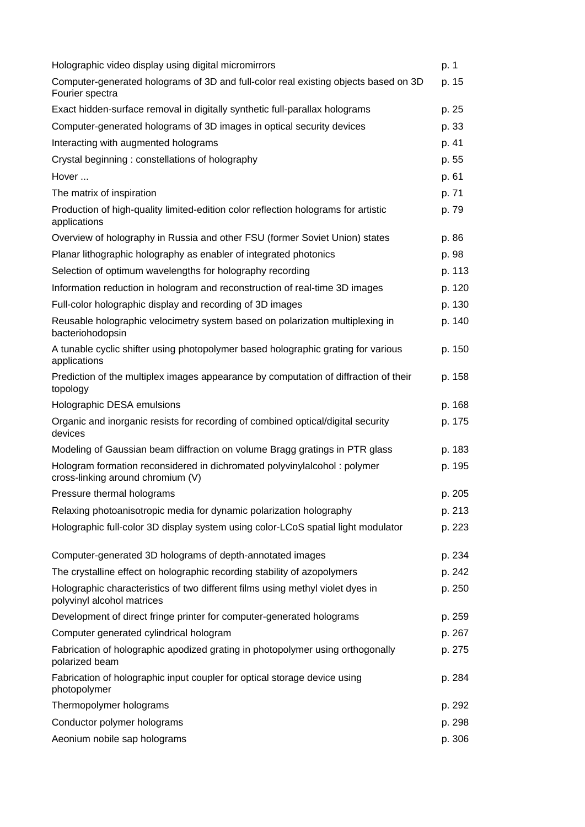| Holographic video display using digital micromirrors                                                          | p. 1   |
|---------------------------------------------------------------------------------------------------------------|--------|
| Computer-generated holograms of 3D and full-color real existing objects based on 3D<br>Fourier spectra        | p. 15  |
| Exact hidden-surface removal in digitally synthetic full-parallax holograms                                   | p. 25  |
| Computer-generated holograms of 3D images in optical security devices                                         | p. 33  |
| Interacting with augmented holograms                                                                          | p. 41  |
| Crystal beginning: constellations of holography                                                               | p. 55  |
| Hover                                                                                                         | p. 61  |
| The matrix of inspiration                                                                                     | p. 71  |
| Production of high-quality limited-edition color reflection holograms for artistic<br>applications            | p. 79  |
| Overview of holography in Russia and other FSU (former Soviet Union) states                                   | p. 86  |
| Planar lithographic holography as enabler of integrated photonics                                             | p. 98  |
| Selection of optimum wavelengths for holography recording                                                     | p. 113 |
| Information reduction in hologram and reconstruction of real-time 3D images                                   | p. 120 |
| Full-color holographic display and recording of 3D images                                                     | p. 130 |
| Reusable holographic velocimetry system based on polarization multiplexing in<br>bacteriohodopsin             | p. 140 |
| A tunable cyclic shifter using photopolymer based holographic grating for various<br>applications             | p. 150 |
| Prediction of the multiplex images appearance by computation of diffraction of their<br>topology              | p. 158 |
| Holographic DESA emulsions                                                                                    | p. 168 |
| Organic and inorganic resists for recording of combined optical/digital security<br>devices                   | p. 175 |
| Modeling of Gaussian beam diffraction on volume Bragg gratings in PTR glass                                   | p. 183 |
| Hologram formation reconsidered in dichromated polyvinylalcohol: polymer<br>cross-linking around chromium (V) | p. 195 |
| Pressure thermal holograms                                                                                    | p. 205 |
| Relaxing photoanisotropic media for dynamic polarization holography                                           | p. 213 |
| Holographic full-color 3D display system using color-LCoS spatial light modulator                             | p. 223 |
| Computer-generated 3D holograms of depth-annotated images                                                     | p. 234 |
| The crystalline effect on holographic recording stability of azopolymers                                      | p. 242 |
| Holographic characteristics of two different films using methyl violet dyes in<br>polyvinyl alcohol matrices  | p. 250 |
| Development of direct fringe printer for computer-generated holograms                                         | p. 259 |
| Computer generated cylindrical hologram                                                                       | p. 267 |
| Fabrication of holographic apodized grating in photopolymer using orthogonally<br>polarized beam              | p. 275 |
| Fabrication of holographic input coupler for optical storage device using<br>photopolymer                     | p. 284 |
| Thermopolymer holograms                                                                                       | p. 292 |
| Conductor polymer holograms                                                                                   | p. 298 |
| Aeonium nobile sap holograms                                                                                  | p. 306 |